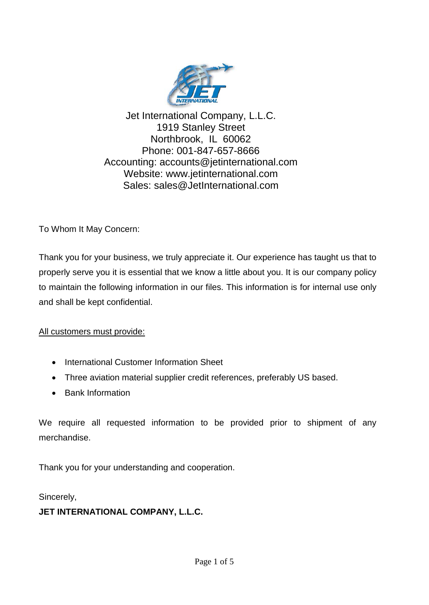

Jet International Company, L.L.C. 1919 Stanley Street Northbrook, IL 60062 Phone: 001-847-657-8666 Accounting: accounts@jetinternational.com Website: www.jetinternational.com Sales: sales@JetInternational.com

To Whom It May Concern:

Thank you for your business, we truly appreciate it. Our experience has taught us that to properly serve you it is essential that we know a little about you. It is our company policy to maintain the following information in our files. This information is for internal use only and shall be kept confidential.

All customers must provide:

- International Customer Information Sheet
- Three aviation material supplier credit references, preferably US based.
- Bank Information

We require all requested information to be provided prior to shipment of any merchandise.

Thank you for your understanding and cooperation.

Sincerely,

#### **JET INTERNATIONAL COMPANY, L.L.C.**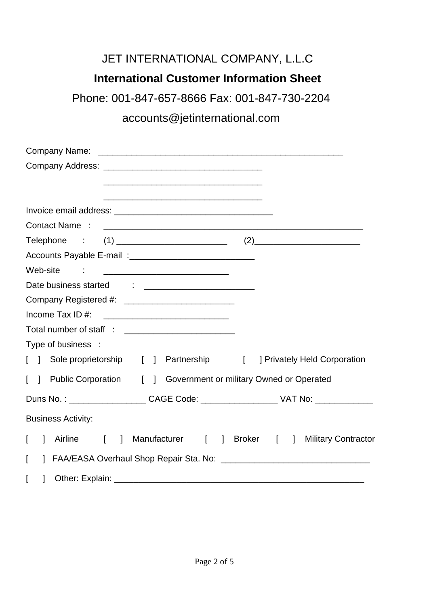# JET INTERNATIONAL COMPANY, L.L.C

# **International Customer Information Sheet**

Phone: 001-847-657-8666 Fax: 001-847-730-2204

# accounts@jetinternational.com

| Web-site<br><u> 1980 - Johann Barnett, fransk kongresu</u>                       |                                   |
|----------------------------------------------------------------------------------|-----------------------------------|
|                                                                                  |                                   |
|                                                                                  |                                   |
|                                                                                  |                                   |
|                                                                                  |                                   |
| Type of business :                                                               |                                   |
| [ ] Sole proprietorship [ ] Partnership [                                        | <b>Privately Held Corporation</b> |
| Public Corporation [ ] Government or military Owned or Operated<br>$\Box$        |                                   |
|                                                                                  |                                   |
| <b>Business Activity:</b>                                                        |                                   |
| Airline<br>Manufacturer [ ] Broker [ ]<br>L<br>$\mathbf{1}$<br>$\mathbf{r}$<br>1 | <b>Military Contractor</b>        |
| L                                                                                |                                   |
| $\mathbf{I}$                                                                     |                                   |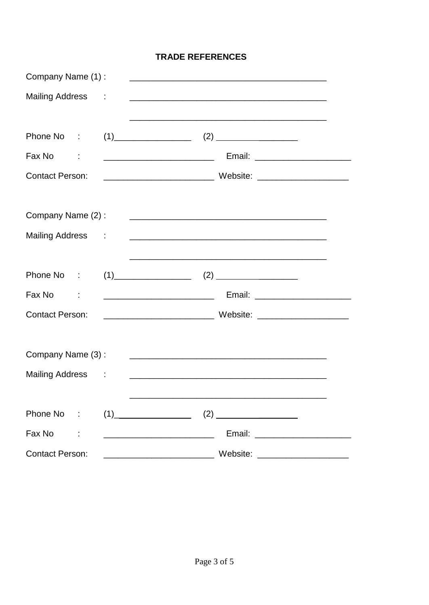#### **TRADE REFERENCES**

| Company Name (1):         | <u> 1989 - Johann John Stone, mars et al. 1989 - John Stone, mars et al. 1989 - John Stone, mars et al. 1989 - Joh</u>                                       |
|---------------------------|--------------------------------------------------------------------------------------------------------------------------------------------------------------|
| Mailing Address :         |                                                                                                                                                              |
| Phone No :                | <u> 1989 - Johann Stoff, amerikansk politiker (* 1908)</u><br>$(1)$ (1)                                                                                      |
| Fax No<br>$\sim 10^{-11}$ |                                                                                                                                                              |
| <b>Contact Person:</b>    |                                                                                                                                                              |
| Company Name (2):         | <u> 2000 - Jan James James Jan James James James James James James James James James James James James James Jam</u>                                         |
| Mailing Address :         |                                                                                                                                                              |
| Phone No :                | <u> 1989 - Johann John Stone, mars et al. 1989 - John Stone, mars et al. 1989 - John Stone, mars et al. 1989 - John Stone</u><br>$(1) \qquad (2) \qquad (2)$ |
| Fax No<br>$\sim 10^{-11}$ | <u> Alexandro de la contrada de la contrada de la contrada de la contrada de la contrada de la contrada de la con</u>                                        |
| <b>Contact Person:</b>    |                                                                                                                                                              |
| Company Name (3):         |                                                                                                                                                              |
| Mailing Address :         | <u> 1980 - Johann John Stone, mars eta bat eta bat eta bat eta bat ez arte eta bat ez arte eta bat ez arte ez a</u>                                          |
| Phone No :                | $(1)$ (2)                                                                                                                                                    |
| Fax No                    | Email:                                                                                                                                                       |
| <b>Contact Person:</b>    | Website: Website:                                                                                                                                            |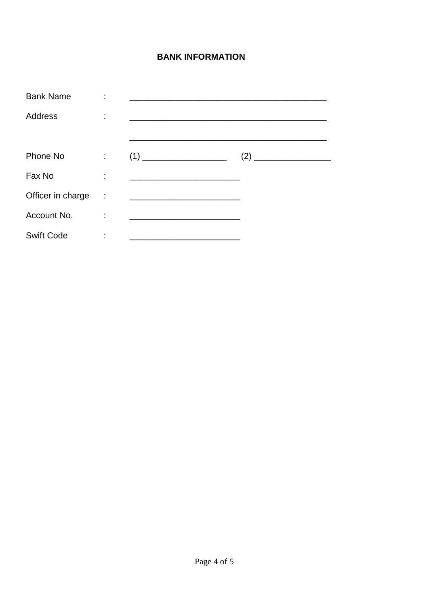### **BANK INFORMATION**

| <b>Bank Name</b>  |   |                                                           |  |
|-------------------|---|-----------------------------------------------------------|--|
| Address           |   | <u> 1989 - Andrea Andrewski, fransk politik (d. 1989)</u> |  |
|                   |   |                                                           |  |
| Phone No          | ÷ | (1)                                                       |  |
| Fax No            | ٠ |                                                           |  |
| Officer in charge | ÷ | <u> 1989 - Johann Barbara, martxa alemaniar a</u>         |  |
| Account No.       | ٠ |                                                           |  |
| <b>Swift Code</b> |   |                                                           |  |